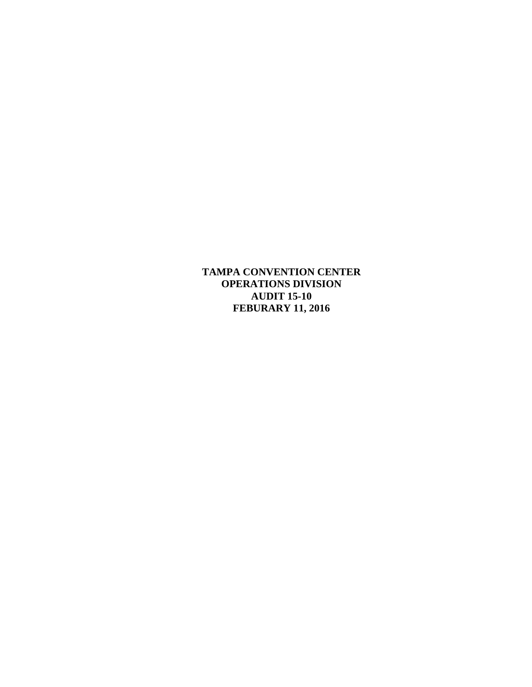**TAMPA CONVENTION CENTER OPERATIONS DIVISION AUDIT 15-10 FEBURARY 11, 2016**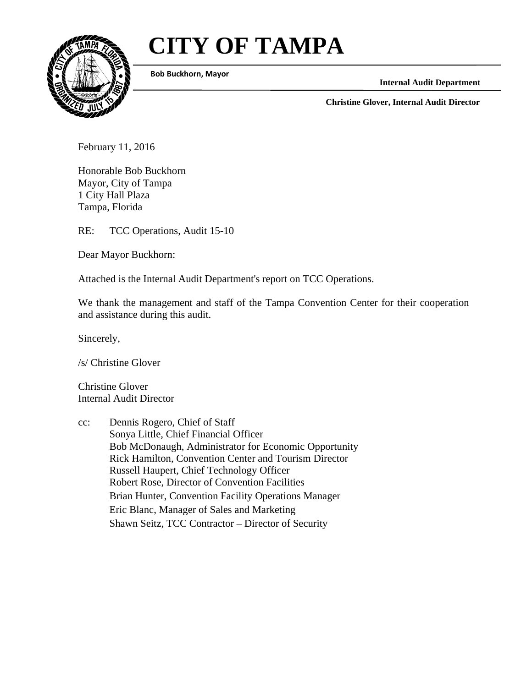# **CITY OF TAMPA**



 **Bob Buckhorn, Mayor**

**Internal Audit Department** 

**Christine Glover, Internal Audit Director** 

February 11, 2016

Honorable Bob Buckhorn Mayor, City of Tampa 1 City Hall Plaza Tampa, Florida

RE: TCC Operations, Audit 15-10

Dear Mayor Buckhorn:

Attached is the Internal Audit Department's report on TCC Operations.

We thank the management and staff of the Tampa Convention Center for their cooperation and assistance during this audit.

Sincerely,

/s/ Christine Glover

Christine Glover Internal Audit Director

cc: Dennis Rogero, Chief of Staff Sonya Little, Chief Financial Officer Bob McDonaugh, Administrator for Economic Opportunity Rick Hamilton, Convention Center and Tourism Director Russell Haupert, Chief Technology Officer Robert Rose, Director of Convention Facilities Brian Hunter, Convention Facility Operations Manager Eric Blanc, Manager of Sales and Marketing Shawn Seitz, TCC Contractor – Director of Security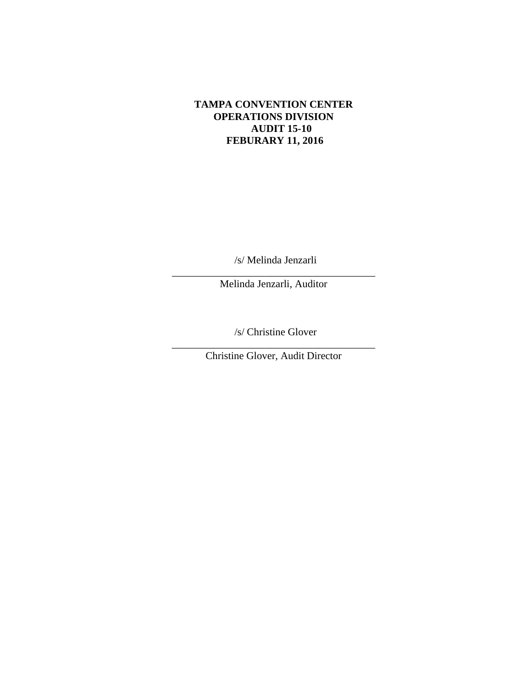# **TAMPA CONVENTION CENTER OPERATIONS DIVISION AUDIT 15-10 FEBURARY 11, 2016**

\_\_\_\_\_\_\_\_\_\_\_\_\_\_\_\_\_\_\_\_\_\_\_\_\_\_\_\_\_\_\_\_\_\_\_\_\_\_\_ /s/ Melinda Jenzarli

Melinda Jenzarli, Auditor

/s/ Christine Glover

\_\_\_\_\_\_\_\_\_\_\_\_\_\_\_\_\_\_\_\_\_\_\_\_\_\_\_\_\_\_\_\_\_\_\_\_\_\_\_ Christine Glover, Audit Director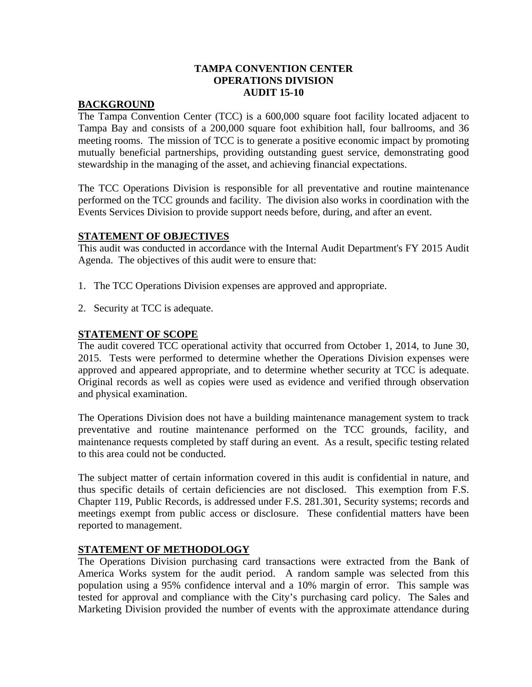# **TAMPA CONVENTION CENTER OPERATIONS DIVISION AUDIT 15-10**

### **BACKGROUND**

The Tampa Convention Center (TCC) is a 600,000 square foot facility located adjacent to Tampa Bay and consists of a 200,000 square foot exhibition hall, four ballrooms, and 36 meeting rooms. The mission of TCC is to generate a positive economic impact by promoting mutually beneficial partnerships, providing outstanding guest service, demonstrating good stewardship in the managing of the asset, and achieving financial expectations.

The TCC Operations Division is responsible for all preventative and routine maintenance performed on the TCC grounds and facility. The division also works in coordination with the Events Services Division to provide support needs before, during, and after an event.

#### **STATEMENT OF OBJECTIVES**

This audit was conducted in accordance with the Internal Audit Department's FY 2015 Audit Agenda. The objectives of this audit were to ensure that:

- 1. The TCC Operations Division expenses are approved and appropriate.
- 2. Security at TCC is adequate.

#### **STATEMENT OF SCOPE**

approved and appeared appropriate, and to determine whether security at TCC is adequate. The audit covered TCC operational activity that occurred from October 1, 2014, to June 30, 2015. Tests were performed to determine whether the Operations Division expenses were Original records as well as copies were used as evidence and verified through observation and physical examination.

The Operations Division does not have a building maintenance management system to track preventative and routine maintenance performed on the TCC grounds, facility, and maintenance requests completed by staff during an event. As a result, specific testing related to this area could not be conducted.

The subject matter of certain information covered in this audit is confidential in nature, and thus specific details of certain deficiencies are not disclosed. This exemption from F.S. Chapter 119, Public Records, is addressed under F.S. 281.301, Security systems; records and meetings exempt from public access or disclosure. These confidential matters have been reported to management.

# **STATEMENT OF METHODOLOGY**

The Operations Division purchasing card transactions were extracted from the Bank of America Works system for the audit period. A random sample was selected from this population using a 95% confidence interval and a 10% margin of error. This sample was tested for approval and compliance with the City's purchasing card policy. The Sales and Marketing Division provided the number of events with the approximate attendance during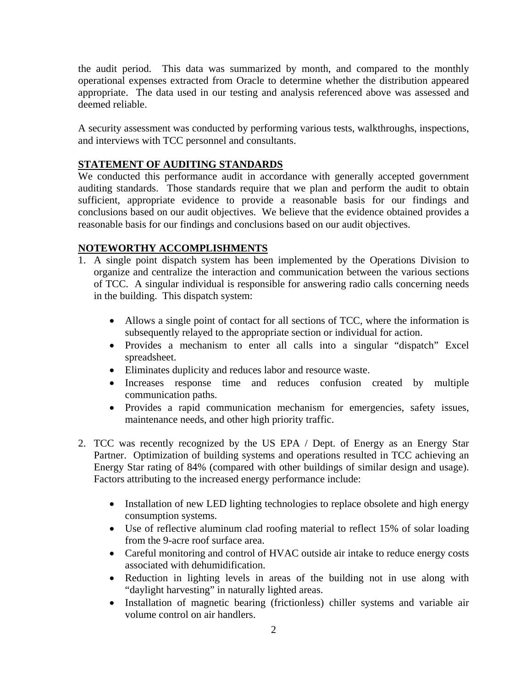the audit period. This data was summarized by month, and compared to the monthly operational expenses extracted from Oracle to determine whether the distribution appeared appropriate. The data used in our testing and analysis referenced above was assessed and deemed reliable.

A security assessment was conducted by performing various tests, walkthroughs, inspections, and interviews with TCC personnel and consultants.

#### **STATEMENT OF AUDITING STANDARDS**

We conducted this performance audit in accordance with generally accepted government auditing standards. Those standards require that we plan and perform the audit to obtain sufficient, appropriate evidence to provide a reasonable basis for our findings and conclusions based on our audit objectives. We believe that the evidence obtained provides a reasonable basis for our findings and conclusions based on our audit objectives.

#### **NOTEWORTHY ACCOMPLISHMENTS**

- 1. A single point dispatch system has been implemented by the Operations Division to organize and centralize the interaction and communication between the various sections of TCC. A singular individual is responsible for answering radio calls concerning needs in the building. This dispatch system:
	- Allows a single point of contact for all sections of TCC, where the information is subsequently relayed to the appropriate section or individual for action.
	- Provides a mechanism to enter all calls into a singular "dispatch" Excel spreadsheet.
	- Eliminates duplicity and reduces labor and resource waste.
	- Increases response time and reduces confusion created by multiple communication paths.
	- Provides a rapid communication mechanism for emergencies, safety issues, maintenance needs, and other high priority traffic.
- 2. TCC was recently recognized by the US EPA / Dept. of Energy as an Energy Star Partner. Optimization of building systems and operations resulted in TCC achieving an Energy Star rating of 84% (compared with other buildings of similar design and usage). Factors attributing to the increased energy performance include:
	- Installation of new LED lighting technologies to replace obsolete and high energy consumption systems.
	- Use of reflective aluminum clad roofing material to reflect 15% of solar loading from the 9-acre roof surface area.
	- Careful monitoring and control of HVAC outside air intake to reduce energy costs associated with dehumidification.
	- Reduction in lighting levels in areas of the building not in use along with "daylight harvesting" in naturally lighted areas.
	- Installation of magnetic bearing (frictionless) chiller systems and variable air volume control on air handlers.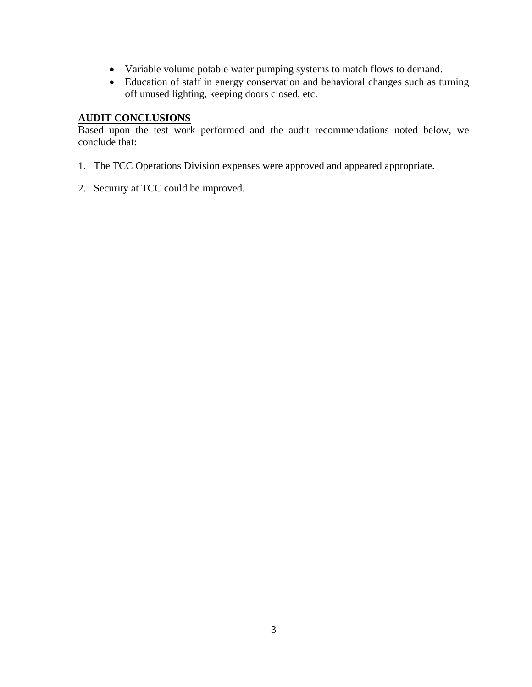- Variable volume potable water pumping systems to match flows to demand.
- Education of staff in energy conservation and behavioral changes such as turning off unused lighting, keeping doors closed, etc.

# **AUDIT CONCLUSIONS**

Based upon the test work performed and the audit recommendations noted below, we conclude that:

- 1. The TCC Operations Division expenses were approved and appeared appropriate.
- 2. Security at TCC could be improved.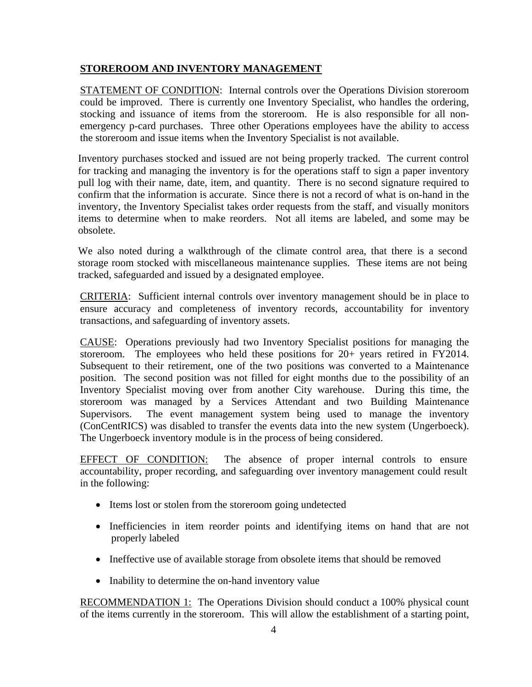#### **STOREROOM AND INVENTORY MANAGEMENT**

STATEMENT OF CONDITION: Internal controls over the Operations Division storeroom could be improved. There is currently one Inventory Specialist, who handles the ordering, stocking and issuance of items from the storeroom. He is also responsible for all nonemergency p-card purchases. Three other Operations employees have the ability to access the storeroom and issue items when the Inventory Specialist is not available.

Inventory purchases stocked and issued are not being properly tracked. The current control for tracking and managing the inventory is for the operations staff to sign a paper inventory pull log with their name, date, item, and quantity. There is no second signature required to confirm that the information is accurate. Since there is not a record of what is on-hand in the inventory, the Inventory Specialist takes order requests from the staff, and visually monitors items to determine when to make reorders. Not all items are labeled, and some may be obsolete.

We also noted during a walkthrough of the climate control area, that there is a second storage room stocked with miscellaneous maintenance supplies. These items are not being tracked, safeguarded and issued by a designated employee.

CRITERIA: Sufficient internal controls over inventory management should be in place to ensure accuracy and completeness of inventory records, accountability for inventory transactions, and safeguarding of inventory assets.

CAUSE: Operations previously had two Inventory Specialist positions for managing the storeroom. The employees who held these positions for 20+ years retired in FY2014. Subsequent to their retirement, one of the two positions was converted to a Maintenance position. The second position was not filled for eight months due to the possibility of an Inventory Specialist moving over from another City warehouse. During this time, the storeroom was managed by a Services Attendant and two Building Maintenance Supervisors. The event management system being used to manage the inventory (ConCentRICS) was disabled to transfer the events data into the new system (Ungerboeck). The Ungerboeck inventory module is in the process of being considered.

EFFECT OF CONDITION: The absence of proper internal controls to ensure accountability, proper recording, and safeguarding over inventory management could result in the following:

- Items lost or stolen from the storeroom going undetected
- Inefficiencies in item reorder points and identifying items on hand that are not properly labeled
- Ineffective use of available storage from obsolete items that should be removed
- Inability to determine the on-hand inventory value

RECOMMENDATION 1: The Operations Division should conduct a 100% physical count of the items currently in the storeroom. This will allow the establishment of a starting point,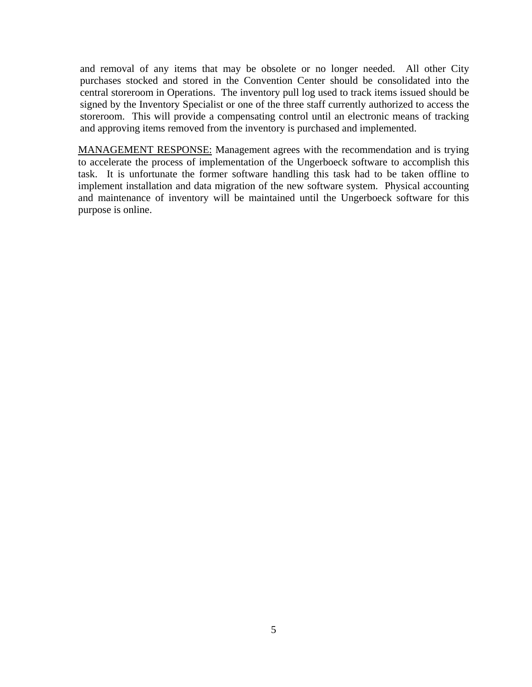and removal of any items that may be obsolete or no longer needed. All other City purchases stocked and stored in the Convention Center should be consolidated into the central storeroom in Operations. The inventory pull log used to track items issued should be signed by the Inventory Specialist or one of the three staff currently authorized to access the storeroom. This will provide a compensating control until an electronic means of tracking and approving items removed from the inventory is purchased and implemented.

MANAGEMENT RESPONSE: Management agrees with the recommendation and is trying to accelerate the process of implementation of the Ungerboeck software to accomplish this task. It is unfortunate the former software handling this task had to be taken offline to implement installation and data migration of the new software system. Physical accounting and maintenance of inventory will be maintained until the Ungerboeck software for this purpose is online.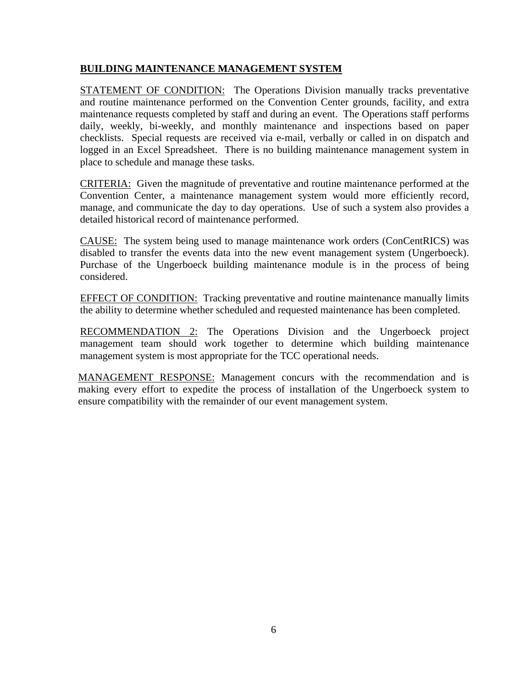#### **BUILDING MAINTENANCE MANAGEMENT SYSTEM**

STATEMENT OF CONDITION: The Operations Division manually tracks preventative and routine maintenance performed on the Convention Center grounds, facility, and extra maintenance requests completed by staff and during an event. The Operations staff performs daily, weekly, bi-weekly, and monthly maintenance and inspections based on paper checklists. Special requests are received via e-mail, verbally or called in on dispatch and logged in an Excel Spreadsheet. There is no building maintenance management system in place to schedule and manage these tasks.

CRITERIA: Given the magnitude of preventative and routine maintenance performed at the Convention Center, a maintenance management system would more efficiently record, manage, and communicate the day to day operations. Use of such a system also provides a detailed historical record of maintenance performed.

CAUSE: The system being used to manage maintenance work orders (ConCentRICS) was disabled to transfer the events data into the new event management system (Ungerboeck). Purchase of the Ungerboeck building maintenance module is in the process of being considered.

EFFECT OF CONDITION: Tracking preventative and routine maintenance manually limits the ability to determine whether scheduled and requested maintenance has been completed.

RECOMMENDATION 2: The Operations Division and the Ungerboeck project management team should work together to determine which building maintenance management system is most appropriate for the TCC operational needs.

MANAGEMENT RESPONSE: Management concurs with the recommendation and is making every effort to expedite the process of installation of the Ungerboeck system to ensure compatibility with the remainder of our event management system.